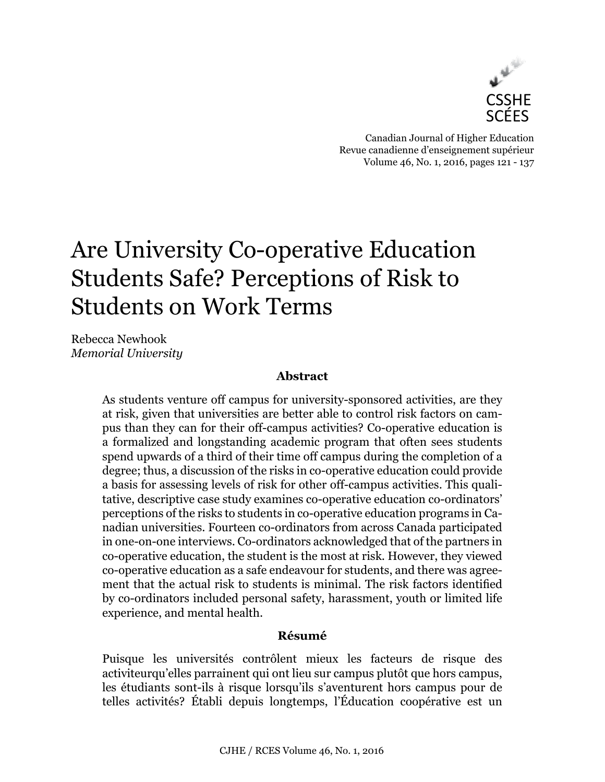

Canadian Journal of Higher Education Revue canadienne d'enseignement supérieur Volume 46, No. 1, 2016, pages 121 - 137

# Are University Co-operative Education Students Safe? Perceptions of Risk to Students on Work Terms

Rebecca Newhook *Memorial University*

### **Abstract**

As students venture off campus for university-sponsored activities, are they at risk, given that universities are better able to control risk factors on campus than they can for their off-campus activities? Co-operative education is a formalized and longstanding academic program that often sees students spend upwards of a third of their time off campus during the completion of a degree; thus, a discussion of the risks in co-operative education could provide a basis for assessing levels of risk for other off-campus activities. This qualitative, descriptive case study examines co-operative education co-ordinators' perceptions of the risks to students in co-operative education programs in Canadian universities. Fourteen co-ordinators from across Canada participated in one-on-one interviews. Co-ordinators acknowledged that of the partners in co-operative education, the student is the most at risk. However, they viewed co-operative education as a safe endeavour for students, and there was agreement that the actual risk to students is minimal. The risk factors identified by co-ordinators included personal safety, harassment, youth or limited life experience, and mental health.

#### **Résumé**

Puisque les universités contrôlent mieux les facteurs de risque des activiteurqu'elles parrainent qui ont lieu sur campus plutôt que hors campus, les étudiants sont-ils à risque lorsqu'ils s'aventurent hors campus pour de telles activités? Établi depuis longtemps, l'Éducation coopérative est un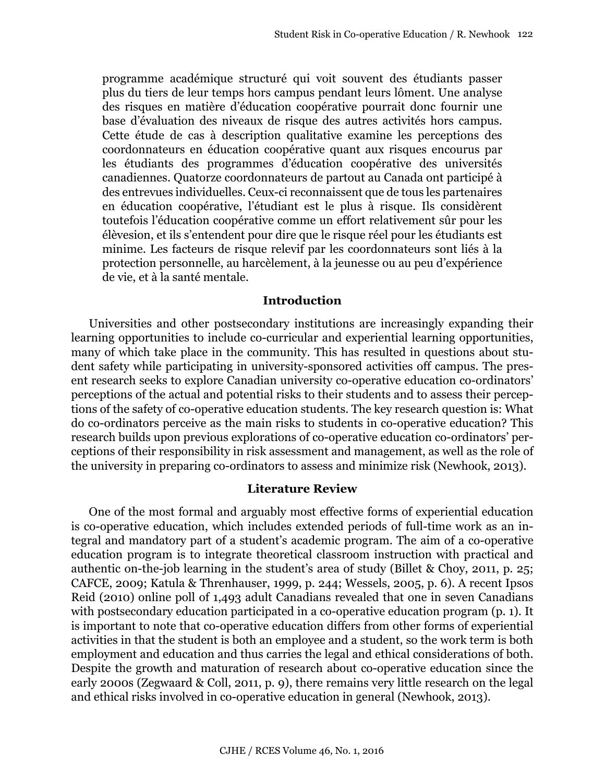programme académique structuré qui voit souvent des étudiants passer plus du tiers de leur temps hors campus pendant leurs lôment. Une analyse des risques en matière d'éducation coopérative pourrait donc fournir une base d'évaluation des niveaux de risque des autres activités hors campus. Cette étude de cas à description qualitative examine les perceptions des coordonnateurs en éducation coopérative quant aux risques encourus par les étudiants des programmes d'éducation coopérative des universités canadiennes. Quatorze coordonnateurs de partout au Canada ont participé à des entrevues individuelles. Ceux-ci reconnaissent que de tous les partenaires en éducation coopérative, l'étudiant est le plus à risque. Ils considèrent toutefois l'éducation coopérative comme un effort relativement sûr pour les élèvesion, et ils s'entendent pour dire que le risque réel pour les étudiants est minime. Les facteurs de risque relevif par les coordonnateurs sont liés à la protection personnelle, au harcèlement, à la jeunesse ou au peu d'expérience de vie, et à la santé mentale.

#### **Introduction**

Universities and other postsecondary institutions are increasingly expanding their learning opportunities to include co-curricular and experiential learning opportunities, many of which take place in the community. This has resulted in questions about student safety while participating in university-sponsored activities off campus. The present research seeks to explore Canadian university co-operative education co-ordinators' perceptions of the actual and potential risks to their students and to assess their perceptions of the safety of co-operative education students. The key research question is: What do co-ordinators perceive as the main risks to students in co-operative education? This research builds upon previous explorations of co-operative education co-ordinators' perceptions of their responsibility in risk assessment and management, as well as the role of the university in preparing co-ordinators to assess and minimize risk (Newhook, 2013).

#### **Literature Review**

One of the most formal and arguably most effective forms of experiential education is co-operative education, which includes extended periods of full-time work as an integral and mandatory part of a student's academic program. The aim of a co-operative education program is to integrate theoretical classroom instruction with practical and authentic on-the-job learning in the student's area of study (Billet & Choy, 2011, p. 25; CAFCE, 2009; Katula & Threnhauser, 1999, p. 244; Wessels, 2005, p. 6). A recent Ipsos Reid (2010) online poll of 1,493 adult Canadians revealed that one in seven Canadians with postsecondary education participated in a co-operative education program (p. 1). It is important to note that co-operative education differs from other forms of experiential activities in that the student is both an employee and a student, so the work term is both employment and education and thus carries the legal and ethical considerations of both. Despite the growth and maturation of research about co-operative education since the early 2000s (Zegwaard & Coll, 2011, p. 9), there remains very little research on the legal and ethical risks involved in co-operative education in general (Newhook, 2013).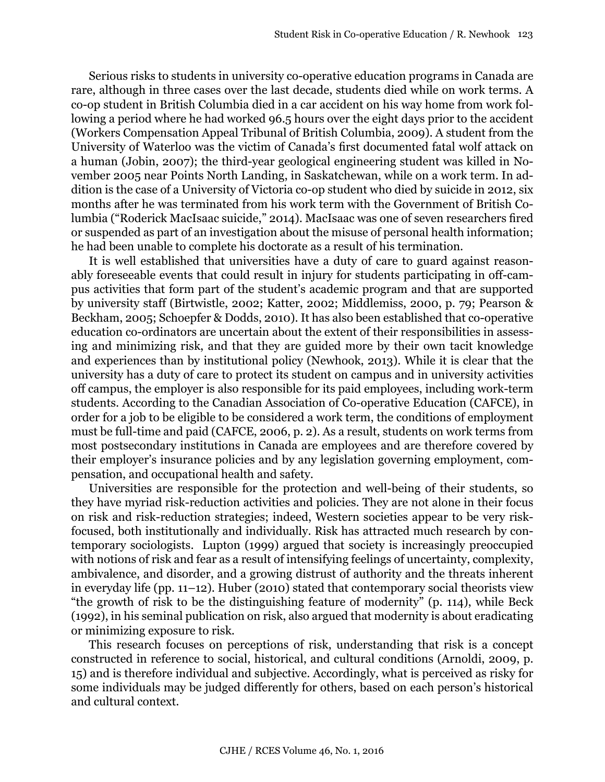Serious risks to students in university co-operative education programs in Canada are rare, although in three cases over the last decade, students died while on work terms. A co-op student in British Columbia died in a car accident on his way home from work following a period where he had worked 96.5 hours over the eight days prior to the accident (Workers Compensation Appeal Tribunal of British Columbia, 2009). A student from the University of Waterloo was the victim of Canada's first documented fatal wolf attack on a human (Jobin, 2007); the third-year geological engineering student was killed in November 2005 near Points North Landing, in Saskatchewan, while on a work term. In addition is the case of a University of Victoria co-op student who died by suicide in 2012, six months after he was terminated from his work term with the Government of British Columbia ("Roderick MacIsaac suicide," 2014). MacIsaac was one of seven researchers fired or suspended as part of an investigation about the misuse of personal health information; he had been unable to complete his doctorate as a result of his termination.

It is well established that universities have a duty of care to guard against reasonably foreseeable events that could result in injury for students participating in off-campus activities that form part of the student's academic program and that are supported by university staff (Birtwistle, 2002; Katter, 2002; Middlemiss, 2000, p. 79; Pearson & Beckham, 2005; Schoepfer & Dodds, 2010). It has also been established that co-operative education co-ordinators are uncertain about the extent of their responsibilities in assessing and minimizing risk, and that they are guided more by their own tacit knowledge and experiences than by institutional policy (Newhook, 2013). While it is clear that the university has a duty of care to protect its student on campus and in university activities off campus, the employer is also responsible for its paid employees, including work-term students. According to the Canadian Association of Co-operative Education (CAFCE), in order for a job to be eligible to be considered a work term, the conditions of employment must be full-time and paid (CAFCE, 2006, p. 2). As a result, students on work terms from most postsecondary institutions in Canada are employees and are therefore covered by their employer's insurance policies and by any legislation governing employment, compensation, and occupational health and safety.

Universities are responsible for the protection and well-being of their students, so they have myriad risk-reduction activities and policies. They are not alone in their focus on risk and risk-reduction strategies; indeed, Western societies appear to be very riskfocused, both institutionally and individually. Risk has attracted much research by contemporary sociologists. Lupton (1999) argued that society is increasingly preoccupied with notions of risk and fear as a result of intensifying feelings of uncertainty, complexity, ambivalence, and disorder, and a growing distrust of authority and the threats inherent in everyday life (pp. 11–12). Huber (2010) stated that contemporary social theorists view "the growth of risk to be the distinguishing feature of modernity" (p. 114), while Beck (1992), in his seminal publication on risk, also argued that modernity is about eradicating or minimizing exposure to risk.

This research focuses on perceptions of risk, understanding that risk is a concept constructed in reference to social, historical, and cultural conditions (Arnoldi, 2009, p. 15) and is therefore individual and subjective. Accordingly, what is perceived as risky for some individuals may be judged differently for others, based on each person's historical and cultural context.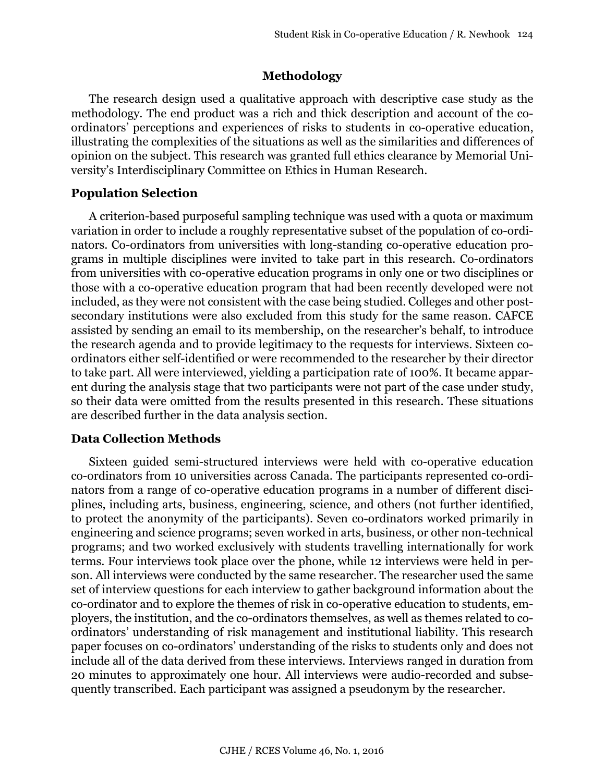# **Methodology**

The research design used a qualitative approach with descriptive case study as the methodology. The end product was a rich and thick description and account of the coordinators' perceptions and experiences of risks to students in co-operative education, illustrating the complexities of the situations as well as the similarities and differences of opinion on the subject. This research was granted full ethics clearance by Memorial University's Interdisciplinary Committee on Ethics in Human Research.

# **Population Selection**

A criterion-based purposeful sampling technique was used with a quota or maximum variation in order to include a roughly representative subset of the population of co-ordinators. Co-ordinators from universities with long-standing co-operative education programs in multiple disciplines were invited to take part in this research. Co-ordinators from universities with co-operative education programs in only one or two disciplines or those with a co-operative education program that had been recently developed were not included, as they were not consistent with the case being studied. Colleges and other postsecondary institutions were also excluded from this study for the same reason. CAFCE assisted by sending an email to its membership, on the researcher's behalf, to introduce the research agenda and to provide legitimacy to the requests for interviews. Sixteen coordinators either self-identified or were recommended to the researcher by their director to take part. All were interviewed, yielding a participation rate of 100%. It became apparent during the analysis stage that two participants were not part of the case under study, so their data were omitted from the results presented in this research. These situations are described further in the data analysis section.

# **Data Collection Methods**

Sixteen guided semi-structured interviews were held with co-operative education co-ordinators from 10 universities across Canada. The participants represented co-ordinators from a range of co-operative education programs in a number of different disciplines, including arts, business, engineering, science, and others (not further identified, to protect the anonymity of the participants). Seven co-ordinators worked primarily in engineering and science programs; seven worked in arts, business, or other non-technical programs; and two worked exclusively with students travelling internationally for work terms. Four interviews took place over the phone, while 12 interviews were held in person. All interviews were conducted by the same researcher. The researcher used the same set of interview questions for each interview to gather background information about the co-ordinator and to explore the themes of risk in co-operative education to students, employers, the institution, and the co-ordinators themselves, as well as themes related to coordinators' understanding of risk management and institutional liability. This research paper focuses on co-ordinators' understanding of the risks to students only and does not include all of the data derived from these interviews. Interviews ranged in duration from 20 minutes to approximately one hour. All interviews were audio-recorded and subsequently transcribed. Each participant was assigned a pseudonym by the researcher.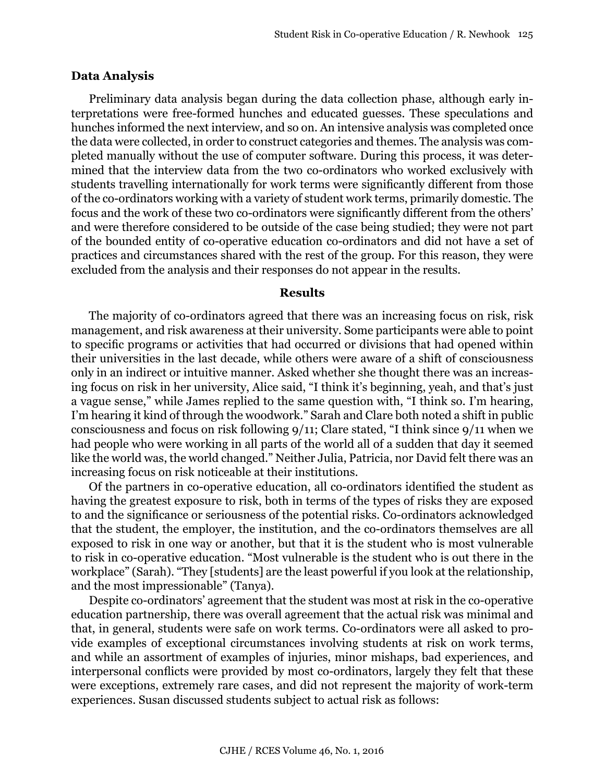#### **Data Analysis**

Preliminary data analysis began during the data collection phase, although early interpretations were free-formed hunches and educated guesses. These speculations and hunches informed the next interview, and so on. An intensive analysis was completed once the data were collected, in order to construct categories and themes. The analysis was completed manually without the use of computer software. During this process, it was determined that the interview data from the two co-ordinators who worked exclusively with students travelling internationally for work terms were significantly different from those of the co-ordinators working with a variety of student work terms, primarily domestic. The focus and the work of these two co-ordinators were significantly different from the others' and were therefore considered to be outside of the case being studied; they were not part of the bounded entity of co-operative education co-ordinators and did not have a set of practices and circumstances shared with the rest of the group. For this reason, they were excluded from the analysis and their responses do not appear in the results.

#### **Results**

The majority of co-ordinators agreed that there was an increasing focus on risk, risk management, and risk awareness at their university. Some participants were able to point to specific programs or activities that had occurred or divisions that had opened within their universities in the last decade, while others were aware of a shift of consciousness only in an indirect or intuitive manner. Asked whether she thought there was an increasing focus on risk in her university, Alice said, "I think it's beginning, yeah, and that's just a vague sense," while James replied to the same question with, "I think so. I'm hearing, I'm hearing it kind of through the woodwork." Sarah and Clare both noted a shift in public consciousness and focus on risk following 9/11; Clare stated, "I think since 9/11 when we had people who were working in all parts of the world all of a sudden that day it seemed like the world was, the world changed." Neither Julia, Patricia, nor David felt there was an increasing focus on risk noticeable at their institutions.

Of the partners in co-operative education, all co-ordinators identified the student as having the greatest exposure to risk, both in terms of the types of risks they are exposed to and the significance or seriousness of the potential risks. Co-ordinators acknowledged that the student, the employer, the institution, and the co-ordinators themselves are all exposed to risk in one way or another, but that it is the student who is most vulnerable to risk in co-operative education. "Most vulnerable is the student who is out there in the workplace" (Sarah). "They [students] are the least powerful if you look at the relationship, and the most impressionable" (Tanya).

Despite co-ordinators' agreement that the student was most at risk in the co-operative education partnership, there was overall agreement that the actual risk was minimal and that, in general, students were safe on work terms. Co-ordinators were all asked to provide examples of exceptional circumstances involving students at risk on work terms, and while an assortment of examples of injuries, minor mishaps, bad experiences, and interpersonal conflicts were provided by most co-ordinators, largely they felt that these were exceptions, extremely rare cases, and did not represent the majority of work-term experiences. Susan discussed students subject to actual risk as follows: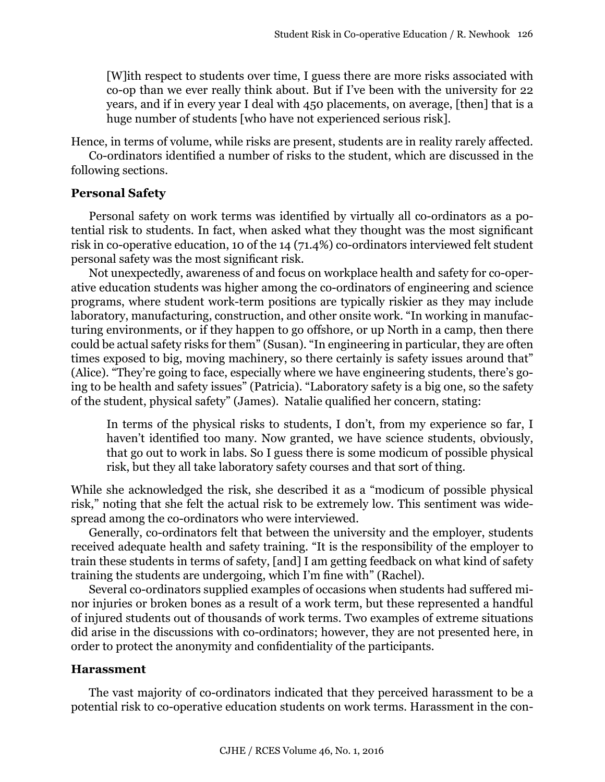[W]ith respect to students over time, I guess there are more risks associated with co-op than we ever really think about. But if I've been with the university for 22 years, and if in every year I deal with 450 placements, on average, [then] that is a huge number of students [who have not experienced serious risk].

Hence, in terms of volume, while risks are present, students are in reality rarely affected.

Co-ordinators identified a number of risks to the student, which are discussed in the following sections.

# **Personal Safety**

Personal safety on work terms was identified by virtually all co-ordinators as a potential risk to students. In fact, when asked what they thought was the most significant risk in co-operative education, 10 of the 14 (71.4%) co-ordinators interviewed felt student personal safety was the most significant risk.

Not unexpectedly, awareness of and focus on workplace health and safety for co-operative education students was higher among the co-ordinators of engineering and science programs, where student work-term positions are typically riskier as they may include laboratory, manufacturing, construction, and other onsite work. "In working in manufacturing environments, or if they happen to go offshore, or up North in a camp, then there could be actual safety risks for them" (Susan). "In engineering in particular, they are often times exposed to big, moving machinery, so there certainly is safety issues around that" (Alice). "They're going to face, especially where we have engineering students, there's going to be health and safety issues" (Patricia). "Laboratory safety is a big one, so the safety of the student, physical safety" (James). Natalie qualified her concern, stating:

In terms of the physical risks to students, I don't, from my experience so far, I haven't identified too many. Now granted, we have science students, obviously, that go out to work in labs. So I guess there is some modicum of possible physical risk, but they all take laboratory safety courses and that sort of thing.

While she acknowledged the risk, she described it as a "modicum of possible physical risk," noting that she felt the actual risk to be extremely low. This sentiment was widespread among the co-ordinators who were interviewed.

Generally, co-ordinators felt that between the university and the employer, students received adequate health and safety training. "It is the responsibility of the employer to train these students in terms of safety, [and] I am getting feedback on what kind of safety training the students are undergoing, which I'm fine with" (Rachel).

Several co-ordinators supplied examples of occasions when students had suffered minor injuries or broken bones as a result of a work term, but these represented a handful of injured students out of thousands of work terms. Two examples of extreme situations did arise in the discussions with co-ordinators; however, they are not presented here, in order to protect the anonymity and confidentiality of the participants.

# **Harassment**

The vast majority of co-ordinators indicated that they perceived harassment to be a potential risk to co-operative education students on work terms. Harassment in the con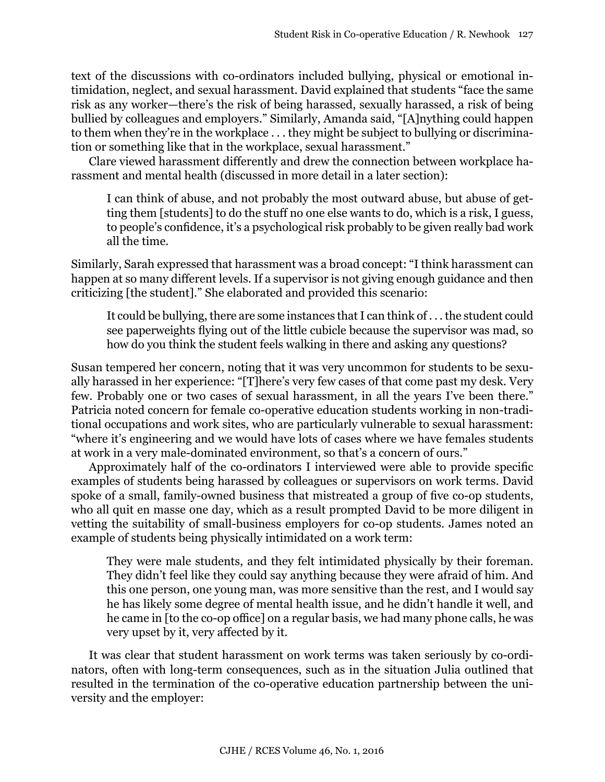text of the discussions with co-ordinators included bullying, physical or emotional intimidation, neglect, and sexual harassment. David explained that students "face the same risk as any worker—there's the risk of being harassed, sexually harassed, a risk of being bullied by colleagues and employers." Similarly, Amanda said, "[A]nything could happen to them when they're in the workplace . . . they might be subject to bullying or discrimination or something like that in the workplace, sexual harassment."

Clare viewed harassment differently and drew the connection between workplace harassment and mental health (discussed in more detail in a later section):

I can think of abuse, and not probably the most outward abuse, but abuse of getting them [students] to do the stuff no one else wants to do, which is a risk, I guess, to people's confidence, it's a psychological risk probably to be given really bad work all the time.

Similarly, Sarah expressed that harassment was a broad concept: "I think harassment can happen at so many different levels. If a supervisor is not giving enough guidance and then criticizing [the student]." She elaborated and provided this scenario:

It could be bullying, there are some instances that I can think of . . . the student could see paperweights flying out of the little cubicle because the supervisor was mad, so how do you think the student feels walking in there and asking any questions?

Susan tempered her concern, noting that it was very uncommon for students to be sexually harassed in her experience: "[T]here's very few cases of that come past my desk. Very few. Probably one or two cases of sexual harassment, in all the years I've been there." Patricia noted concern for female co-operative education students working in non-traditional occupations and work sites, who are particularly vulnerable to sexual harassment: "where it's engineering and we would have lots of cases where we have females students at work in a very male-dominated environment, so that's a concern of ours."

Approximately half of the co-ordinators I interviewed were able to provide specific examples of students being harassed by colleagues or supervisors on work terms. David spoke of a small, family-owned business that mistreated a group of five co-op students, who all quit en masse one day, which as a result prompted David to be more diligent in vetting the suitability of small-business employers for co-op students. James noted an example of students being physically intimidated on a work term:

They were male students, and they felt intimidated physically by their foreman. They didn't feel like they could say anything because they were afraid of him. And this one person, one young man, was more sensitive than the rest, and I would say he has likely some degree of mental health issue, and he didn't handle it well, and he came in [to the co-op office] on a regular basis, we had many phone calls, he was very upset by it, very affected by it.

It was clear that student harassment on work terms was taken seriously by co-ordinators, often with long-term consequences, such as in the situation Julia outlined that resulted in the termination of the co-operative education partnership between the university and the employer: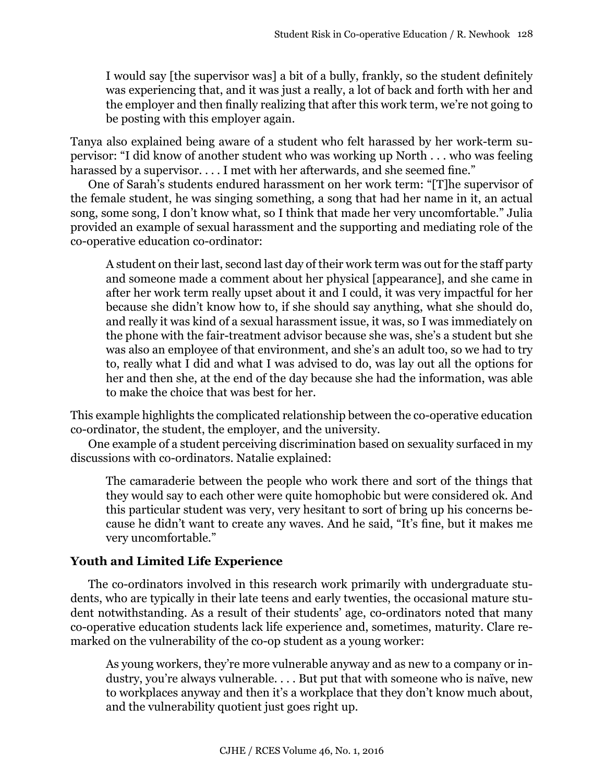I would say [the supervisor was] a bit of a bully, frankly, so the student definitely was experiencing that, and it was just a really, a lot of back and forth with her and the employer and then finally realizing that after this work term, we're not going to be posting with this employer again.

Tanya also explained being aware of a student who felt harassed by her work-term supervisor: "I did know of another student who was working up North . . . who was feeling harassed by a supervisor. . . . I met with her afterwards, and she seemed fine."

One of Sarah's students endured harassment on her work term: "[T]he supervisor of the female student, he was singing something, a song that had her name in it, an actual song, some song, I don't know what, so I think that made her very uncomfortable." Julia provided an example of sexual harassment and the supporting and mediating role of the co-operative education co-ordinator:

A student on their last, second last day of their work term was out for the staff party and someone made a comment about her physical [appearance], and she came in after her work term really upset about it and I could, it was very impactful for her because she didn't know how to, if she should say anything, what she should do, and really it was kind of a sexual harassment issue, it was, so I was immediately on the phone with the fair-treatment advisor because she was, she's a student but she was also an employee of that environment, and she's an adult too, so we had to try to, really what I did and what I was advised to do, was lay out all the options for her and then she, at the end of the day because she had the information, was able to make the choice that was best for her.

This example highlights the complicated relationship between the co-operative education co-ordinator, the student, the employer, and the university.

One example of a student perceiving discrimination based on sexuality surfaced in my discussions with co-ordinators. Natalie explained:

The camaraderie between the people who work there and sort of the things that they would say to each other were quite homophobic but were considered ok. And this particular student was very, very hesitant to sort of bring up his concerns because he didn't want to create any waves. And he said, "It's fine, but it makes me very uncomfortable."

# **Youth and Limited Life Experience**

The co-ordinators involved in this research work primarily with undergraduate students, who are typically in their late teens and early twenties, the occasional mature student notwithstanding. As a result of their students' age, co-ordinators noted that many co-operative education students lack life experience and, sometimes, maturity. Clare remarked on the vulnerability of the co-op student as a young worker:

As young workers, they're more vulnerable anyway and as new to a company or industry, you're always vulnerable. . . . But put that with someone who is naïve, new to workplaces anyway and then it's a workplace that they don't know much about, and the vulnerability quotient just goes right up.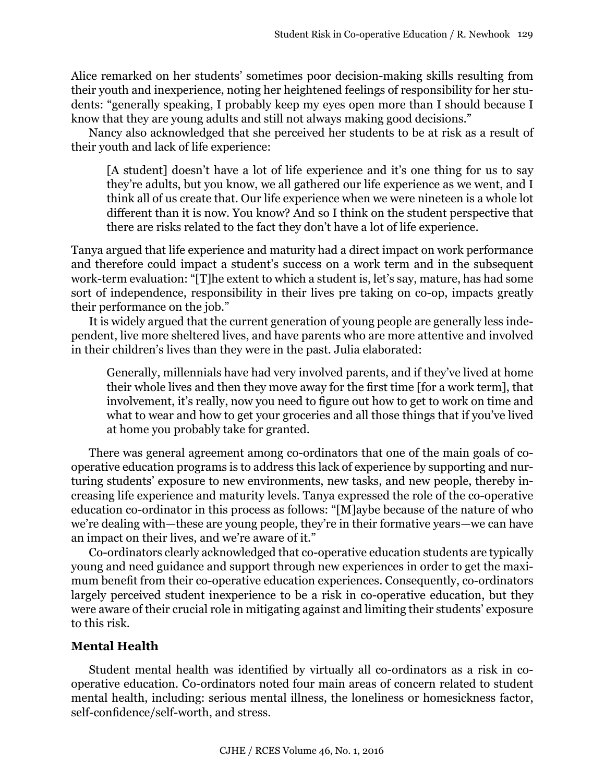Alice remarked on her students' sometimes poor decision-making skills resulting from their youth and inexperience, noting her heightened feelings of responsibility for her students: "generally speaking, I probably keep my eyes open more than I should because I know that they are young adults and still not always making good decisions."

Nancy also acknowledged that she perceived her students to be at risk as a result of their youth and lack of life experience:

[A student] doesn't have a lot of life experience and it's one thing for us to say they're adults, but you know, we all gathered our life experience as we went, and I think all of us create that. Our life experience when we were nineteen is a whole lot different than it is now. You know? And so I think on the student perspective that there are risks related to the fact they don't have a lot of life experience.

Tanya argued that life experience and maturity had a direct impact on work performance and therefore could impact a student's success on a work term and in the subsequent work-term evaluation: "[T]he extent to which a student is, let's say, mature, has had some sort of independence, responsibility in their lives pre taking on co-op, impacts greatly their performance on the job."

It is widely argued that the current generation of young people are generally less independent, live more sheltered lives, and have parents who are more attentive and involved in their children's lives than they were in the past. Julia elaborated:

Generally, millennials have had very involved parents, and if they've lived at home their whole lives and then they move away for the first time [for a work term], that involvement, it's really, now you need to figure out how to get to work on time and what to wear and how to get your groceries and all those things that if you've lived at home you probably take for granted.

There was general agreement among co-ordinators that one of the main goals of cooperative education programs is to address this lack of experience by supporting and nurturing students' exposure to new environments, new tasks, and new people, thereby increasing life experience and maturity levels. Tanya expressed the role of the co-operative education co-ordinator in this process as follows: "[M]aybe because of the nature of who we're dealing with—these are young people, they're in their formative years—we can have an impact on their lives, and we're aware of it."

Co-ordinators clearly acknowledged that co-operative education students are typically young and need guidance and support through new experiences in order to get the maximum benefit from their co-operative education experiences. Consequently, co-ordinators largely perceived student inexperience to be a risk in co-operative education, but they were aware of their crucial role in mitigating against and limiting their students' exposure to this risk.

# **Mental Health**

Student mental health was identified by virtually all co-ordinators as a risk in cooperative education. Co-ordinators noted four main areas of concern related to student mental health, including: serious mental illness, the loneliness or homesickness factor, self-confidence/self-worth, and stress.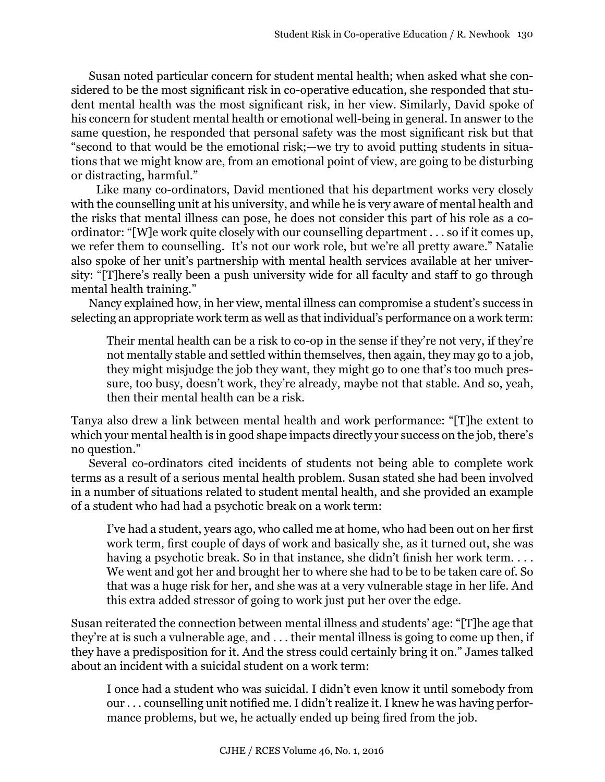Susan noted particular concern for student mental health; when asked what she considered to be the most significant risk in co-operative education, she responded that student mental health was the most significant risk, in her view. Similarly, David spoke of his concern for student mental health or emotional well-being in general. In answer to the same question, he responded that personal safety was the most significant risk but that "second to that would be the emotional risk;—we try to avoid putting students in situations that we might know are, from an emotional point of view, are going to be disturbing or distracting, harmful."

 Like many co-ordinators, David mentioned that his department works very closely with the counselling unit at his university, and while he is very aware of mental health and the risks that mental illness can pose, he does not consider this part of his role as a coordinator: "[W]e work quite closely with our counselling department . . . so if it comes up, we refer them to counselling. It's not our work role, but we're all pretty aware." Natalie also spoke of her unit's partnership with mental health services available at her university: "[T]here's really been a push university wide for all faculty and staff to go through mental health training."

Nancy explained how, in her view, mental illness can compromise a student's success in selecting an appropriate work term as well as that individual's performance on a work term:

Their mental health can be a risk to co-op in the sense if they're not very, if they're not mentally stable and settled within themselves, then again, they may go to a job, they might misjudge the job they want, they might go to one that's too much pressure, too busy, doesn't work, they're already, maybe not that stable. And so, yeah, then their mental health can be a risk.

Tanya also drew a link between mental health and work performance: "[T]he extent to which your mental health is in good shape impacts directly your success on the job, there's no question."

Several co-ordinators cited incidents of students not being able to complete work terms as a result of a serious mental health problem. Susan stated she had been involved in a number of situations related to student mental health, and she provided an example of a student who had had a psychotic break on a work term:

I've had a student, years ago, who called me at home, who had been out on her first work term, first couple of days of work and basically she, as it turned out, she was having a psychotic break. So in that instance, she didn't finish her work term.... We went and got her and brought her to where she had to be to be taken care of. So that was a huge risk for her, and she was at a very vulnerable stage in her life. And this extra added stressor of going to work just put her over the edge.

Susan reiterated the connection between mental illness and students' age: "[T]he age that they're at is such a vulnerable age, and . . . their mental illness is going to come up then, if they have a predisposition for it. And the stress could certainly bring it on." James talked about an incident with a suicidal student on a work term:

I once had a student who was suicidal. I didn't even know it until somebody from our . . . counselling unit notified me. I didn't realize it. I knew he was having performance problems, but we, he actually ended up being fired from the job.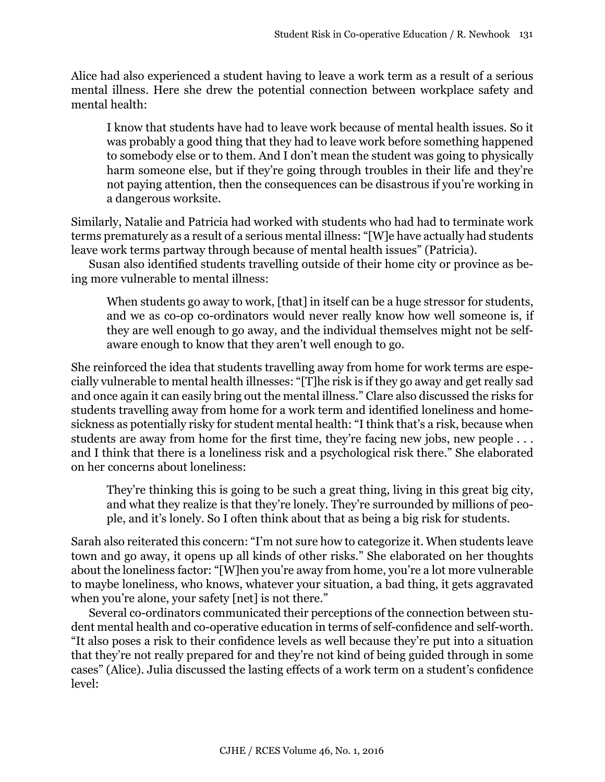Alice had also experienced a student having to leave a work term as a result of a serious mental illness. Here she drew the potential connection between workplace safety and mental health:

I know that students have had to leave work because of mental health issues. So it was probably a good thing that they had to leave work before something happened to somebody else or to them. And I don't mean the student was going to physically harm someone else, but if they're going through troubles in their life and they're not paying attention, then the consequences can be disastrous if you're working in a dangerous worksite.

Similarly, Natalie and Patricia had worked with students who had had to terminate work terms prematurely as a result of a serious mental illness: "[W]e have actually had students leave work terms partway through because of mental health issues" (Patricia).

Susan also identified students travelling outside of their home city or province as being more vulnerable to mental illness:

When students go away to work, [that] in itself can be a huge stressor for students, and we as co-op co-ordinators would never really know how well someone is, if they are well enough to go away, and the individual themselves might not be selfaware enough to know that they aren't well enough to go.

She reinforced the idea that students travelling away from home for work terms are especially vulnerable to mental health illnesses: "[T]he risk is if they go away and get really sad and once again it can easily bring out the mental illness." Clare also discussed the risks for students travelling away from home for a work term and identified loneliness and homesickness as potentially risky for student mental health: "I think that's a risk, because when students are away from home for the first time, they're facing new jobs, new people . . . and I think that there is a loneliness risk and a psychological risk there." She elaborated on her concerns about loneliness:

They're thinking this is going to be such a great thing, living in this great big city, and what they realize is that they're lonely. They're surrounded by millions of people, and it's lonely. So I often think about that as being a big risk for students.

Sarah also reiterated this concern: "I'm not sure how to categorize it. When students leave town and go away, it opens up all kinds of other risks." She elaborated on her thoughts about the loneliness factor: "[W]hen you're away from home, you're a lot more vulnerable to maybe loneliness, who knows, whatever your situation, a bad thing, it gets aggravated when you're alone, your safety [net] is not there."

Several co-ordinators communicated their perceptions of the connection between student mental health and co-operative education in terms of self-confidence and self-worth. "It also poses a risk to their confidence levels as well because they're put into a situation that they're not really prepared for and they're not kind of being guided through in some cases" (Alice). Julia discussed the lasting effects of a work term on a student's confidence level: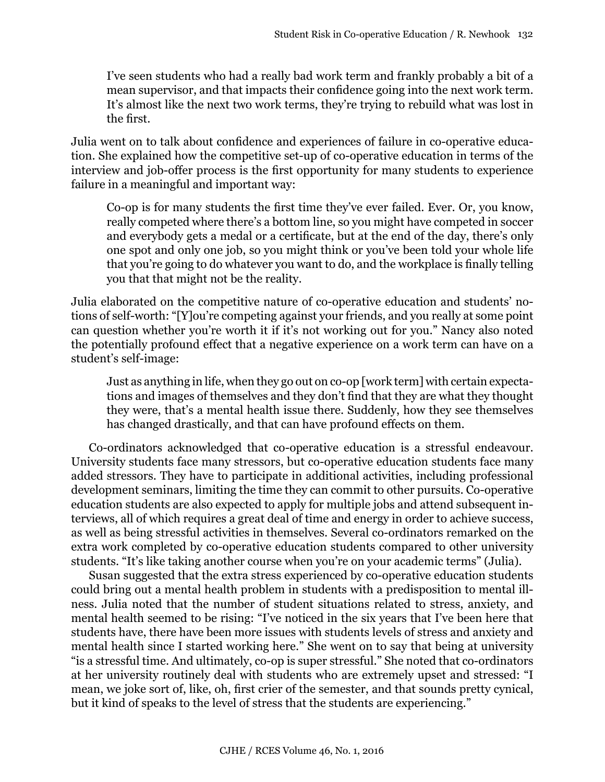I've seen students who had a really bad work term and frankly probably a bit of a mean supervisor, and that impacts their confidence going into the next work term. It's almost like the next two work terms, they're trying to rebuild what was lost in the first.

Julia went on to talk about confidence and experiences of failure in co-operative education. She explained how the competitive set-up of co-operative education in terms of the interview and job-offer process is the first opportunity for many students to experience failure in a meaningful and important way:

Co-op is for many students the first time they've ever failed. Ever. Or, you know, really competed where there's a bottom line, so you might have competed in soccer and everybody gets a medal or a certificate, but at the end of the day, there's only one spot and only one job, so you might think or you've been told your whole life that you're going to do whatever you want to do, and the workplace is finally telling you that that might not be the reality.

Julia elaborated on the competitive nature of co-operative education and students' notions of self-worth: "[Y]ou're competing against your friends, and you really at some point can question whether you're worth it if it's not working out for you." Nancy also noted the potentially profound effect that a negative experience on a work term can have on a student's self-image:

Just as anything in life, when they go out on co-op [work term] with certain expectations and images of themselves and they don't find that they are what they thought they were, that's a mental health issue there. Suddenly, how they see themselves has changed drastically, and that can have profound effects on them.

Co-ordinators acknowledged that co-operative education is a stressful endeavour. University students face many stressors, but co-operative education students face many added stressors. They have to participate in additional activities, including professional development seminars, limiting the time they can commit to other pursuits. Co-operative education students are also expected to apply for multiple jobs and attend subsequent interviews, all of which requires a great deal of time and energy in order to achieve success, as well as being stressful activities in themselves. Several co-ordinators remarked on the extra work completed by co-operative education students compared to other university students. "It's like taking another course when you're on your academic terms" (Julia).

Susan suggested that the extra stress experienced by co-operative education students could bring out a mental health problem in students with a predisposition to mental illness. Julia noted that the number of student situations related to stress, anxiety, and mental health seemed to be rising: "I've noticed in the six years that I've been here that students have, there have been more issues with students levels of stress and anxiety and mental health since I started working here." She went on to say that being at university "is a stressful time. And ultimately, co-op is super stressful." She noted that co-ordinators at her university routinely deal with students who are extremely upset and stressed: "I mean, we joke sort of, like, oh, first crier of the semester, and that sounds pretty cynical, but it kind of speaks to the level of stress that the students are experiencing."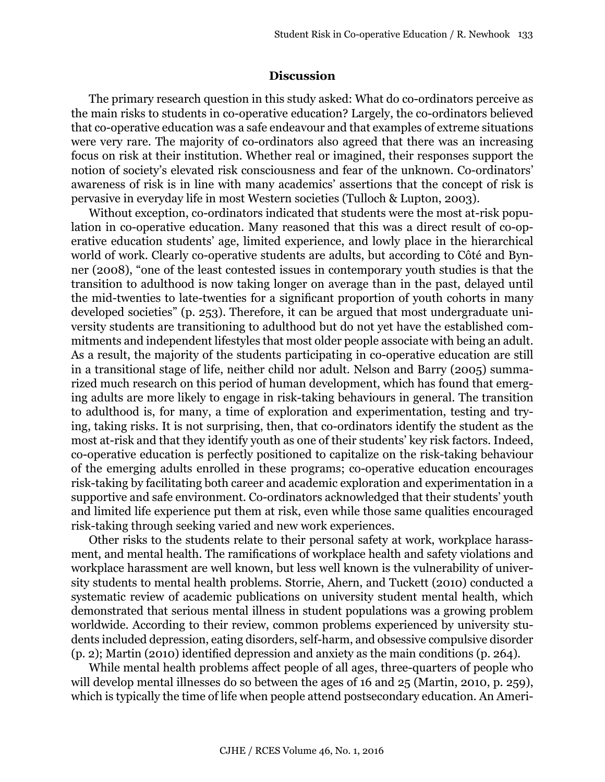#### **Discussion**

The primary research question in this study asked: What do co-ordinators perceive as the main risks to students in co-operative education? Largely, the co-ordinators believed that co-operative education was a safe endeavour and that examples of extreme situations were very rare. The majority of co-ordinators also agreed that there was an increasing focus on risk at their institution. Whether real or imagined, their responses support the notion of society's elevated risk consciousness and fear of the unknown. Co-ordinators' awareness of risk is in line with many academics' assertions that the concept of risk is pervasive in everyday life in most Western societies (Tulloch & Lupton, 2003).

Without exception, co-ordinators indicated that students were the most at-risk population in co-operative education. Many reasoned that this was a direct result of co-operative education students' age, limited experience, and lowly place in the hierarchical world of work. Clearly co-operative students are adults, but according to Côté and Bynner (2008), "one of the least contested issues in contemporary youth studies is that the transition to adulthood is now taking longer on average than in the past, delayed until the mid-twenties to late-twenties for a significant proportion of youth cohorts in many developed societies" (p. 253). Therefore, it can be argued that most undergraduate university students are transitioning to adulthood but do not yet have the established commitments and independent lifestyles that most older people associate with being an adult. As a result, the majority of the students participating in co-operative education are still in a transitional stage of life, neither child nor adult. Nelson and Barry (2005) summarized much research on this period of human development, which has found that emerging adults are more likely to engage in risk-taking behaviours in general. The transition to adulthood is, for many, a time of exploration and experimentation, testing and trying, taking risks. It is not surprising, then, that co-ordinators identify the student as the most at-risk and that they identify youth as one of their students' key risk factors. Indeed, co-operative education is perfectly positioned to capitalize on the risk-taking behaviour of the emerging adults enrolled in these programs; co-operative education encourages risk-taking by facilitating both career and academic exploration and experimentation in a supportive and safe environment. Co-ordinators acknowledged that their students' youth and limited life experience put them at risk, even while those same qualities encouraged risk-taking through seeking varied and new work experiences.

Other risks to the students relate to their personal safety at work, workplace harassment, and mental health. The ramifications of workplace health and safety violations and workplace harassment are well known, but less well known is the vulnerability of university students to mental health problems. Storrie, Ahern, and Tuckett (2010) conducted a systematic review of academic publications on university student mental health, which demonstrated that serious mental illness in student populations was a growing problem worldwide. According to their review, common problems experienced by university students included depression, eating disorders, self-harm, and obsessive compulsive disorder (p. 2); Martin (2010) identified depression and anxiety as the main conditions (p. 264).

While mental health problems affect people of all ages, three-quarters of people who will develop mental illnesses do so between the ages of 16 and 25 (Martin, 2010, p. 259), which is typically the time of life when people attend postsecondary education. An Ameri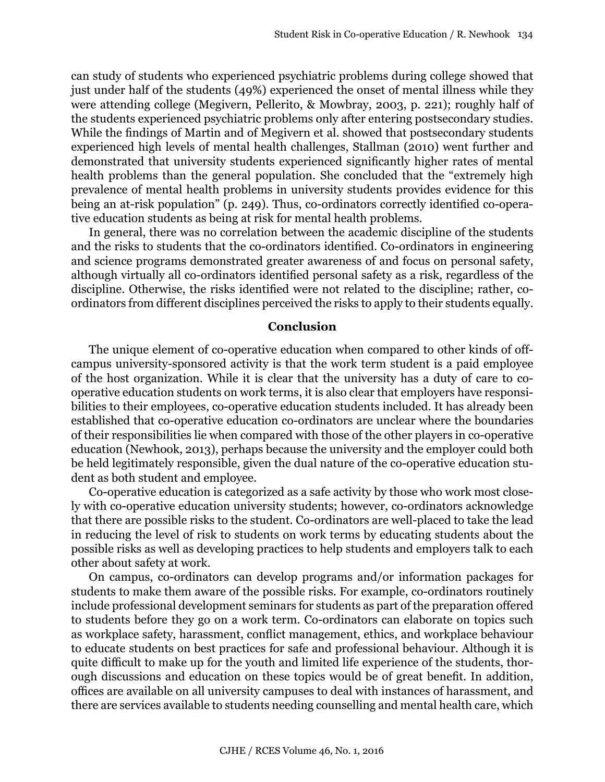can study of students who experienced psychiatric problems during college showed that just under half of the students (49%) experienced the onset of mental illness while they were attending college (Megivern, Pellerito, & Mowbray, 2003, p. 221); roughly half of the students experienced psychiatric problems only after entering postsecondary studies. While the findings of Martin and of Megivern et al. showed that postsecondary students experienced high levels of mental health challenges, Stallman (2010) went further and demonstrated that university students experienced significantly higher rates of mental health problems than the general population. She concluded that the "extremely high prevalence of mental health problems in university students provides evidence for this being an at-risk population" (p. 249). Thus, co-ordinators correctly identified co-operative education students as being at risk for mental health problems.

In general, there was no correlation between the academic discipline of the students and the risks to students that the co-ordinators identified. Co-ordinators in engineering and science programs demonstrated greater awareness of and focus on personal safety, although virtually all co-ordinators identified personal safety as a risk, regardless of the discipline. Otherwise, the risks identified were not related to the discipline; rather, coordinators from different disciplines perceived the risks to apply to their students equally.

#### **Conclusion**

The unique element of co-operative education when compared to other kinds of offcampus university-sponsored activity is that the work term student is a paid employee of the host organization. While it is clear that the university has a duty of care to cooperative education students on work terms, it is also clear that employers have responsibilities to their employees, co-operative education students included. It has already been established that co-operative education co-ordinators are unclear where the boundaries of their responsibilities lie when compared with those of the other players in co-operative education (Newhook, 2013), perhaps because the university and the employer could both be held legitimately responsible, given the dual nature of the co-operative education student as both student and employee.

Co-operative education is categorized as a safe activity by those who work most closely with co-operative education university students; however, co-ordinators acknowledge that there are possible risks to the student. Co-ordinators are well-placed to take the lead in reducing the level of risk to students on work terms by educating students about the possible risks as well as developing practices to help students and employers talk to each other about safety at work.

On campus, co-ordinators can develop programs and/or information packages for students to make them aware of the possible risks. For example, co-ordinators routinely include professional development seminars for students as part of the preparation offered to students before they go on a work term. Co-ordinators can elaborate on topics such as workplace safety, harassment, conflict management, ethics, and workplace behaviour to educate students on best practices for safe and professional behaviour. Although it is quite difficult to make up for the youth and limited life experience of the students, thorough discussions and education on these topics would be of great benefit. In addition, offices are available on all university campuses to deal with instances of harassment, and there are services available to students needing counselling and mental health care, which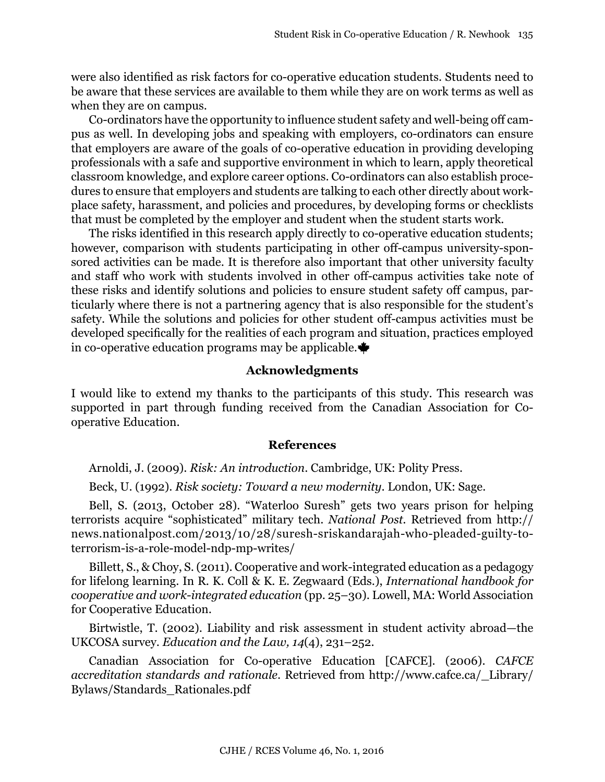were also identified as risk factors for co-operative education students. Students need to be aware that these services are available to them while they are on work terms as well as when they are on campus.

Co-ordinators have the opportunity to influence student safety and well-being off campus as well. In developing jobs and speaking with employers, co-ordinators can ensure that employers are aware of the goals of co-operative education in providing developing professionals with a safe and supportive environment in which to learn, apply theoretical classroom knowledge, and explore career options. Co-ordinators can also establish procedures to ensure that employers and students are talking to each other directly about workplace safety, harassment, and policies and procedures, by developing forms or checklists that must be completed by the employer and student when the student starts work.

The risks identified in this research apply directly to co-operative education students; however, comparison with students participating in other off-campus university-sponsored activities can be made. It is therefore also important that other university faculty and staff who work with students involved in other off-campus activities take note of these risks and identify solutions and policies to ensure student safety off campus, particularly where there is not a partnering agency that is also responsible for the student's safety. While the solutions and policies for other student off-campus activities must be developed specifically for the realities of each program and situation, practices employed in co-operative education programs may be applicable.

### **Acknowledgments**

I would like to extend my thanks to the participants of this study. This research was supported in part through funding received from the Canadian Association for Cooperative Education.

#### **References**

Arnoldi, J. (2009). *Risk: An introduction*. Cambridge, UK: Polity Press.

Beck, U. (1992). *Risk society: Toward a new modernity*. London, UK: Sage.

Bell, S. (2013, October 28). "Waterloo Suresh" gets two years prison for helping terrorists acquire "sophisticated" military tech. *National Post.* Retrieved from [http://](http://news.nationalpost.com/2013/10/28/suresh-sriskandarajah-who-pleaded-guilty-to-terrorism-is-a-role-model-ndp-mp-writes/) [news.nationalpost.com/2013/10/28/suresh-sriskandarajah-who-pleaded-guilty-to](http://news.nationalpost.com/2013/10/28/suresh-sriskandarajah-who-pleaded-guilty-to-terrorism-is-a-role-model-ndp-mp-writes/)[terrorism-is-a-role-model-ndp-mp-writes/](http://news.nationalpost.com/2013/10/28/suresh-sriskandarajah-who-pleaded-guilty-to-terrorism-is-a-role-model-ndp-mp-writes/)

Billett, S., & Choy, S. (2011). Cooperative and work-integrated education as a pedagogy for lifelong learning. In R. K. Coll & K. E. Zegwaard (Eds.), *International handbook for cooperative and work-integrated education* (pp. 25–30). Lowell, MA: World Association for Cooperative Education.

Birtwistle, T. (2002). Liability and risk assessment in student activity abroad—the UKCOSA survey. *Education and the Law, 14*(4), 231–252.

Canadian Association for Co-operative Education [CAFCE]. (2006). *CAFCE accreditation standards and rationale*. Retrieved from [http://www.cafce.ca/\\_Library/](http://www.cafce.ca/_Library/Bylaws/Standards_Rationales.pdf) [Bylaws/Standards\\_Rationales.pdf](http://www.cafce.ca/_Library/Bylaws/Standards_Rationales.pdf)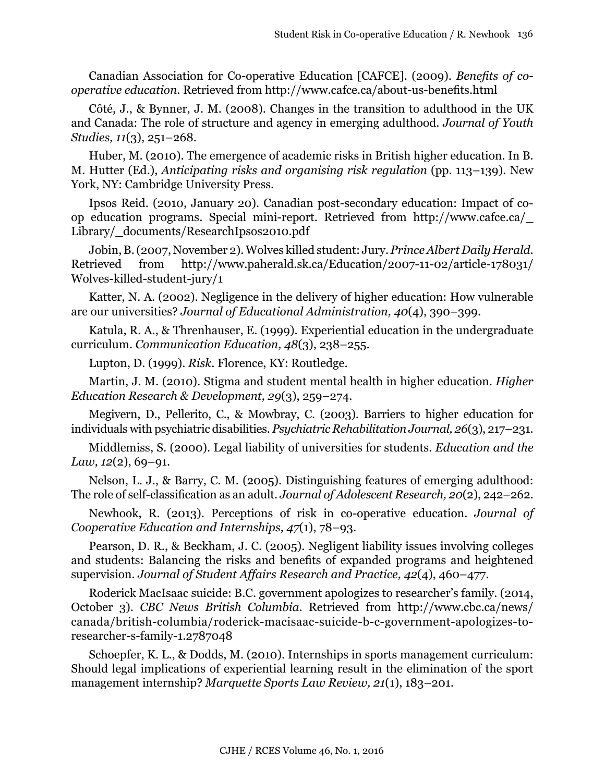Canadian Association for Co-operative Education [CAFCE]. (2009). *Benefits of cooperative education*. Retrieved from<http://www.cafce.ca/about-us-benefits.html>

Côté, J., & Bynner, J. M. (2008). Changes in the transition to adulthood in the UK and Canada: The role of structure and agency in emerging adulthood. *Journal of Youth Studies, 11*(3), 251–268.

Huber, M. (2010). The emergence of academic risks in British higher education. In B. M. Hutter (Ed.), *Anticipating risks and organising risk regulation* (pp. 113–139). New York, NY: Cambridge University Press.

Ipsos Reid. (2010, January 20). Canadian post-secondary education: Impact of coop education programs. Special mini-report. Retrieved from [http://www.cafce.ca/\\_](http://www.cafce.ca/_Library/_documents/ResearchIpsos2010.pdf) [Library/\\_documents/ResearchIpsos2010.pdf](http://www.cafce.ca/_Library/_documents/ResearchIpsos2010.pdf)

Jobin, B. (2007, November 2). Wolves killed student: Jury. *Prince Albert Daily Herald*. Retrieved from [http://www.paherald.sk.ca/Education/2007-11-02/article-178031/](http://www.paherald.sk.ca/Education/2007-11-02/article-178031/Wolves-killed-student-jury/1) [Wolves-killed-student-jury/1](http://www.paherald.sk.ca/Education/2007-11-02/article-178031/Wolves-killed-student-jury/1)

Katter, N. A. (2002). Negligence in the delivery of higher education: How vulnerable are our universities? *Journal of Educational Administration, 40*(4), 390–399.

Katula, R. A., & Threnhauser, E. (1999). Experiential education in the undergraduate curriculum. *Communication Education, 48*(3), 238–255.

Lupton, D. (1999). *Risk*. Florence, KY: Routledge.

Martin, J. M. (2010). Stigma and student mental health in higher education. *Higher Education Research & Development, 29*(3), 259–274.

Megivern, D., Pellerito, C., & Mowbray, C. (2003). Barriers to higher education for individuals with psychiatric disabilities. *Psychiatric Rehabilitation Journal, 26*(3), 217–231.

Middlemiss, S. (2000). Legal liability of universities for students. *Education and the Law, 12*(2), 69–91.

Nelson, L. J., & Barry, C. M. (2005). Distinguishing features of emerging adulthood: The role of self-classification as an adult. *Journal of Adolescent Research, 20*(2), 242–262.

Newhook, R. (2013). Perceptions of risk in co-operative education. *Journal of Cooperative Education and Internships, 47*(1), 78–93.

Pearson, D. R., & Beckham, J. C. (2005). Negligent liability issues involving colleges and students: Balancing the risks and benefits of expanded programs and heightened supervision. *Journal of Student Affairs Research and Practice, 42*(4), 460–477.

Roderick MacIsaac suicide: B.C. government apologizes to researcher's family. (2014, October 3). *CBC News British Columbia*. Retrieved from [http://www.cbc.ca/news/](http://www.cbc.ca/news/canada/british-columbia/roderick-macisaac-suicide-b-c-government-apologizes-to-researcher-s-family-1.2787048) [canada/british-columbia/roderick-macisaac-suicide-b-c-government-apologizes-to](http://www.cbc.ca/news/canada/british-columbia/roderick-macisaac-suicide-b-c-government-apologizes-to-researcher-s-family-1.2787048)[researcher-s-family-1.2787048](http://www.cbc.ca/news/canada/british-columbia/roderick-macisaac-suicide-b-c-government-apologizes-to-researcher-s-family-1.2787048)

Schoepfer, K. L., & Dodds, M. (2010). Internships in sports management curriculum: Should legal implications of experiential learning result in the elimination of the sport management internship? *Marquette Sports Law Review, 21*(1), 183–201.